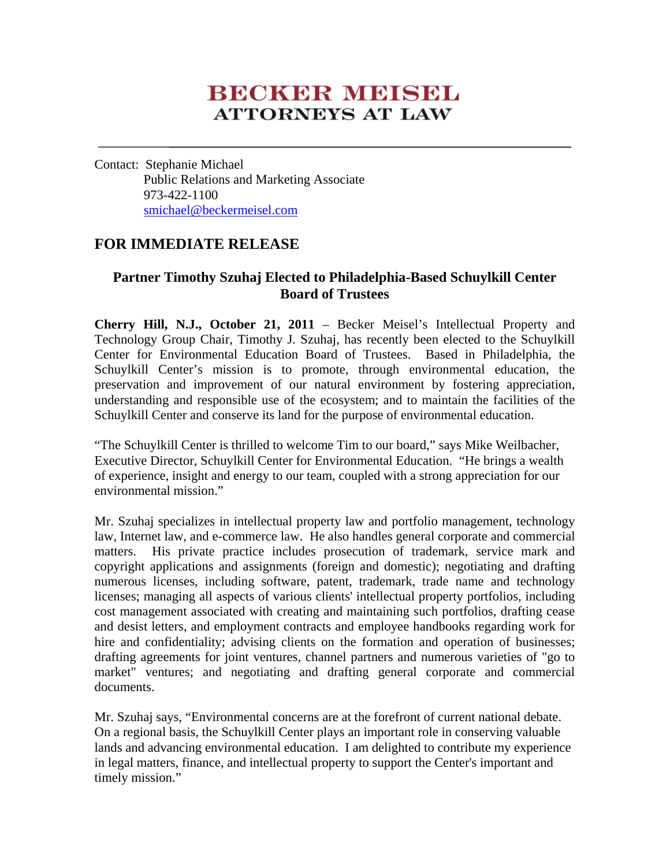# **BECKER MEISEL ATTORNEYS AT LAW**

Contact: Stephanie Michael Public Relations and Marketing Associate 973-422-1100 smichael@beckermeisel.com

## **FOR IMMEDIATE RELEASE**

## **Partner Timothy Szuhaj Elected to Philadelphia-Based Schuylkill Center Board of Trustees**

**Cherry Hill, N.J., October 21, 2011** – Becker Meisel's Intellectual Property and Technology Group Chair, Timothy J. Szuhaj, has recently been elected to the Schuylkill Center for Environmental Education Board of Trustees. Based in Philadelphia, the Schuylkill Center's mission is to promote, through environmental education, the preservation and improvement of our natural environment by fostering appreciation, understanding and responsible use of the ecosystem; and to maintain the facilities of the Schuylkill Center and conserve its land for the purpose of environmental education.

"The Schuylkill Center is thrilled to welcome Tim to our board," says Mike Weilbacher, Executive Director, Schuylkill Center for Environmental Education. "He brings a wealth of experience, insight and energy to our team, coupled with a strong appreciation for our environmental mission."

Mr. Szuhaj specializes in intellectual property law and portfolio management, technology law, Internet law, and e-commerce law. He also handles general corporate and commercial matters. His private practice includes prosecution of trademark, service mark and copyright applications and assignments (foreign and domestic); negotiating and drafting numerous licenses, including software, patent, trademark, trade name and technology licenses; managing all aspects of various clients' intellectual property portfolios, including cost management associated with creating and maintaining such portfolios, drafting cease and desist letters, and employment contracts and employee handbooks regarding work for hire and confidentiality; advising clients on the formation and operation of businesses; drafting agreements for joint ventures, channel partners and numerous varieties of "go to market" ventures; and negotiating and drafting general corporate and commercial documents.

Mr. Szuhaj says, "Environmental concerns are at the forefront of current national debate. On a regional basis, the Schuylkill Center plays an important role in conserving valuable lands and advancing environmental education. I am delighted to contribute my experience in legal matters, finance, and intellectual property to support the Center's important and timely mission."